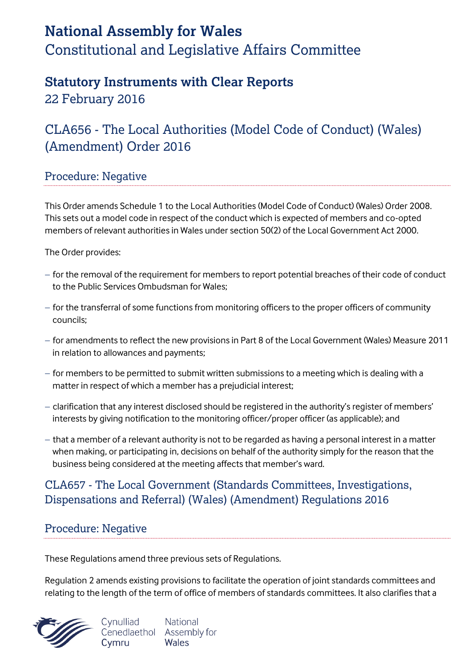# **National Assembly for Wales** Constitutional and Legislative Affairs Committee

# **Statutory Instruments with Clear Reports**

22 February 2016

# CLA656 - The Local Authorities (Model Code of Conduct) (Wales) (Amendment) Order 2016

## Procedure: Negative

This Order amends Schedule 1 to the Local Authorities (Model Code of Conduct) (Wales) Order 2008. This sets out a model code in respect of the conduct which is expected of members and co-opted members of relevant authorities in Wales under section 50(2) of the Local Government Act 2000.

The Order provides:

- $-$  for the removal of the requirement for members to report potential breaches of their code of conduct to the Public Services Ombudsman for Wales;
- for the transferral of some functions from monitoring officers to the proper officers of community councils;
- for amendments to reflect the new provisions in Part 8 of the Local Government (Wales) Measure 2011 in relation to allowances and payments;
- $-$  for members to be permitted to submit written submissions to a meeting which is dealing with a matter in respect of which a member has a prejudicial interest;
- clarification that any interest disclosed should be registered in the authority's register of members' interests by giving notification to the monitoring officer/proper officer (as applicable); and
- $-$  that a member of a relevant authority is not to be regarded as having a personal interest in a matter when making, or participating in, decisions on behalf of the authority simply for the reason that the business being considered at the meeting affects that member's ward.

## CLA657 - The Local Government (Standards Committees, Investigations, Dispensations and Referral) (Wales) (Amendment) Regulations 2016

## Procedure: Negative

These Regulations amend three previous sets of Regulations.

Regulation 2 amends existing provisions to facilitate the operation of joint standards committees and relating to the length of the term of office of members of standards committees. It also clarifies that a

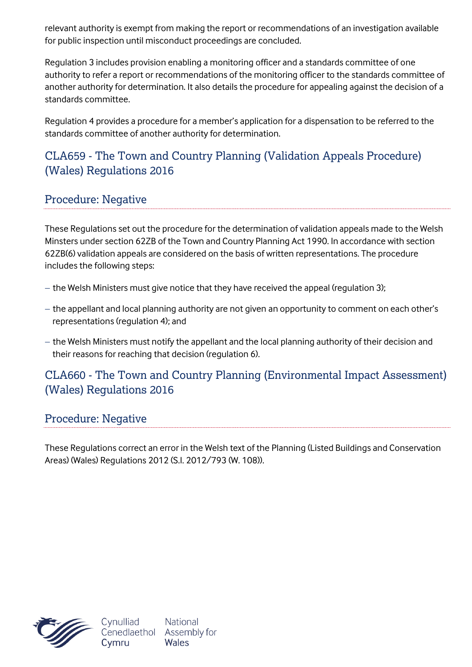relevant authority is exempt from making the report or recommendations of an investigation available for public inspection until misconduct proceedings are concluded.

Regulation 3 includes provision enabling a monitoring officer and a standards committee of one authority to refer a report or recommendations of the monitoring officer to the standards committee of another authority for determination. It also details the procedure for appealing against the decision of a standards committee.

Regulation 4 provides a procedure for a member's application for a dispensation to be referred to the standards committee of another authority for determination.

## CLA659 - The Town and Country Planning (Validation Appeals Procedure) (Wales) Regulations 2016

## Procedure: Negative

These Regulations set out the procedure for the determination of validation appeals made to the Welsh Minsters under section 62ZB of the Town and Country Planning Act 1990. In accordance with section 62ZB(6) validation appeals are considered on the basis of written representations. The procedure includes the following steps:

- $-$  the Welsh Ministers must give notice that they have received the appeal (regulation 3);
- the appellant and local planning authority are not given an opportunity to comment on each other's representations (regulation 4); and
- the Welsh Ministers must notify the appellant and the local planning authority of their decision and their reasons for reaching that decision (regulation 6).

#### CLA660 - The Town and Country Planning (Environmental Impact Assessment) (Wales) Regulations 2016

#### Procedure: Negative

These Regulations correct an error in the Welsh text of the Planning (Listed Buildings and Conservation Areas) (Wales) Regulations 2012 (S.I. 2012/793 (W. 108)).



National Wales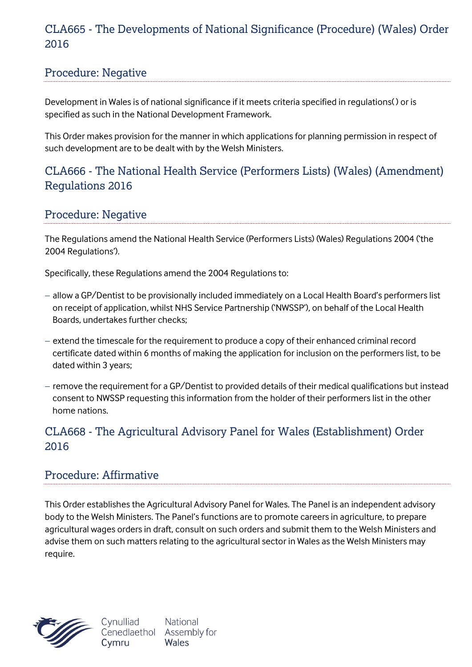#### CLA665 - The Developments of National Significance (Procedure) (Wales) Order 2016

#### Procedure: Negative

Development in Wales is of national significance if it meets criteria specified in regulations( ) or is specified as such in the National Development Framework.

This Order makes provision for the manner in which applications for planning permission in respect of such development are to be dealt with by the Welsh Ministers.

## CLA666 - The National Health Service (Performers Lists) (Wales) (Amendment) Regulations 2016

#### Procedure: Negative

The Regulations amend the National Health Service (Performers Lists) (Wales) Regulations 2004 ('the 2004 Regulations').

Specifically, these Regulations amend the 2004 Regulations to:

- allow a GP/Dentist to be provisionally included immediately on a Local Health Board's performers list on receipt of application, whilst NHS Service Partnership ('NWSSP'), on behalf of the Local Health Boards, undertakes further checks;
- extend the timescale for the requirement to produce a copy of their enhanced criminal record certificate dated within 6 months of making the application for inclusion on the performers list, to be dated within 3 years;
- remove the requirement for a GP/Dentist to provided details of their medical qualifications but instead consent to NWSSP requesting this information from the holder of their performers list in the other home nations.

#### CLA668 - The Agricultural Advisory Panel for Wales (Establishment) Order 2016

#### Procedure: Affirmative

This Order establishes the Agricultural Advisory Panel for Wales. The Panel is an independent advisory body to the Welsh Ministers. The Panel's functions are to promote careers in agriculture, to prepare agricultural wages orders in draft, consult on such orders and submit them to the Welsh Ministers and advise them on such matters relating to the agricultural sector in Wales as the Welsh Ministers may require.

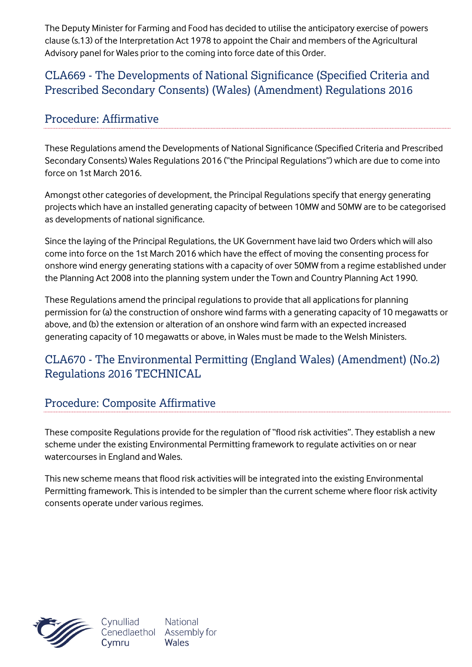The Deputy Minister for Farming and Food has decided to utilise the anticipatory exercise of powers clause (s.13) of the Interpretation Act 1978 to appoint the Chair and members of the Agricultural Advisory panel for Wales prior to the coming into force date of this Order.

#### CLA669 - The Developments of National Significance (Specified Criteria and Prescribed Secondary Consents) (Wales) (Amendment) Regulations 2016

### Procedure: Affirmative

These Regulations amend the Developments of National Significance (Specified Criteria and Prescribed Secondary Consents) Wales Regulations 2016 ("the Principal Regulations") which are due to come into force on 1st March 2016.

Amongst other categories of development, the Principal Regulations specify that energy generating projects which have an installed generating capacity of between 10MW and 50MW are to be categorised as developments of national significance.

Since the laying of the Principal Regulations, the UK Government have laid two Orders which will also come into force on the 1st March 2016 which have the effect of moving the consenting process for onshore wind energy generating stations with a capacity of over 50MW from a regime established under the Planning Act 2008 into the planning system under the Town and Country Planning Act 1990.

These Regulations amend the principal regulations to provide that all applications for planning permission for (a) the construction of onshore wind farms with a generating capacity of 10 megawatts or above, and (b) the extension or alteration of an onshore wind farm with an expected increased generating capacity of 10 megawatts or above, in Wales must be made to the Welsh Ministers.

## CLA670 - The Environmental Permitting (England Wales) (Amendment) (No.2) Regulations 2016 TECHNICAL

#### Procedure: Composite Affirmative

These composite Regulations provide for the regulation of "flood risk activities". They establish a new scheme under the existing Environmental Permitting framework to regulate activities on or near watercourses in England and Wales.

This new scheme means that flood risk activities will be integrated into the existing Environmental Permitting framework. This is intended to be simpler than the current scheme where floor risk activity consents operate under various regimes.

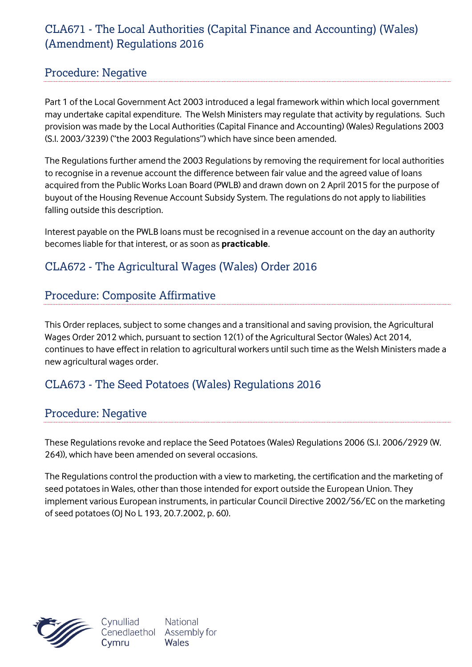## CLA671 - The Local Authorities (Capital Finance and Accounting) (Wales) (Amendment) Regulations 2016

#### Procedure: Negative

Part 1 of the Local Government Act 2003 introduced a legal framework within which local government may undertake capital expenditure. The Welsh Ministers may regulate that activity by regulations. Such provision was made by the Local Authorities (Capital Finance and Accounting) (Wales) Regulations 2003 (S.I. 2003/3239) ("the 2003 Regulations") which have since been amended.

The Regulations further amend the 2003 Regulations by removing the requirement for local authorities to recognise in a revenue account the difference between fair value and the agreed value of loans acquired from the Public Works Loan Board (PWLB) and drawn down on 2 April 2015 for the purpose of buyout of the Housing Revenue Account Subsidy System. The regulations do not apply to liabilities falling outside this description.

Interest payable on the PWLB loans must be recognised in a revenue account on the day an authority becomes liable for that interest, or as soon as **practicable**.

#### CLA672 - The Agricultural Wages (Wales) Order 2016

#### Procedure: Composite Affirmative

This Order replaces, subject to some changes and a transitional and saving provision, the Agricultural Wages Order 2012 which, pursuant to section 12(1) of the Agricultural Sector (Wales) Act 2014, continues to have effect in relation to agricultural workers until such time as the Welsh Ministers made a new agricultural wages order.

#### CLA673 - The Seed Potatoes (Wales) Regulations 2016

#### Procedure: Negative

These Regulations revoke and replace the Seed Potatoes (Wales) Regulations 2006 (S.I. 2006/2929 (W. 264)), which have been amended on several occasions.

The Regulations control the production with a view to marketing, the certification and the marketing of seed potatoes in Wales, other than those intended for export outside the European Union. They implement various European instruments, in particular Council Directive 2002/56/EC on the marketing of seed potatoes (OJ No L 193, 20.7.2002, p. 60).

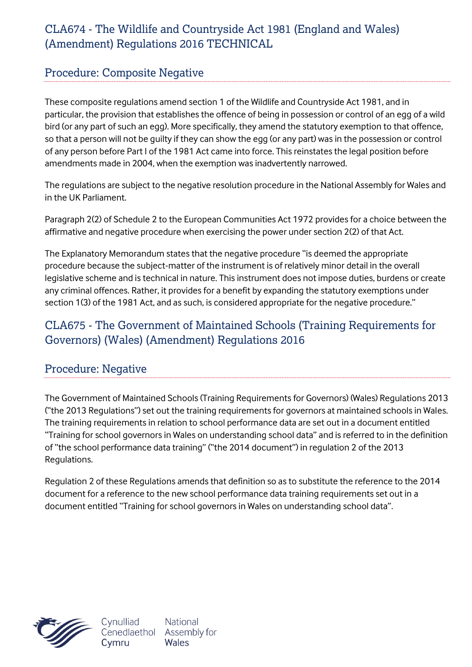## CLA674 - The Wildlife and Countryside Act 1981 (England and Wales) (Amendment) Regulations 2016 TECHNICAL

#### Procedure: Composite Negative

These composite regulations amend section 1 of the Wildlife and Countryside Act 1981, and in particular, the provision that establishes the offence of being in possession or control of an egg of a wild bird (or any part of such an egg). More specifically, they amend the statutory exemption to that offence, so that a person will not be guilty if they can show the egg (or any part) was in the possession or control of any person before Part I of the 1981 Act came into force. This reinstates the legal position before amendments made in 2004, when the exemption was inadvertently narrowed.

The regulations are subject to the negative resolution procedure in the National Assembly for Wales and in the UK Parliament.

Paragraph 2(2) of Schedule 2 to the European Communities Act 1972 provides for a choice between the affirmative and negative procedure when exercising the power under section 2(2) of that Act.

The Explanatory Memorandum states that the negative procedure "is deemed the appropriate procedure because the subject-matter of the instrument is of relatively minor detail in the overall legislative scheme and is technical in nature. This instrument does not impose duties, burdens or create any criminal offences. Rather, it provides for a benefit by expanding the statutory exemptions under section 1(3) of the 1981 Act, and as such, is considered appropriate for the negative procedure."

## CLA675 - The Government of Maintained Schools (Training Requirements for Governors) (Wales) (Amendment) Regulations 2016

#### Procedure: Negative

The Government of Maintained Schools (Training Requirements for Governors) (Wales) Regulations 2013 ("the 2013 Regulations") set out the training requirements for governors at maintained schools in Wales. The training requirements in relation to school performance data are set out in a document entitled "Training for school governors in Wales on understanding school data" and is referred to in the definition of "the school performance data training" ("the 2014 document") in regulation 2 of the 2013 Regulations.

Regulation 2 of these Regulations amends that definition so as to substitute the reference to the 2014 document for a reference to the new school performance data training requirements set out in a document entitled "Training for school governors in Wales on understanding school data".



Cynulliad Cenedlaethol Cymru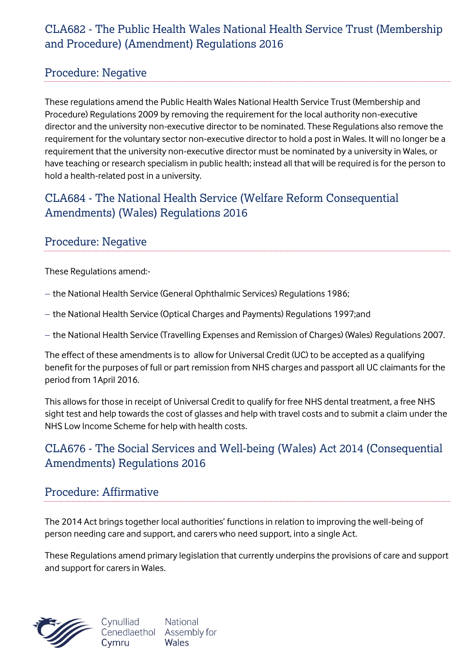### CLA682 - The Public Health Wales National Health Service Trust (Membership and Procedure) (Amendment) Regulations 2016

#### Procedure: Negative

These regulations amend the Public Health Wales National Health Service Trust (Membership and Procedure) Regulations 2009 by removing the requirement for the local authority non-executive director and the university non-executive director to be nominated. These Regulations also remove the requirement for the voluntary sector non-executive director to hold a post in Wales. It will no longer be a requirement that the university non-executive director must be nominated by a university in Wales, or have teaching or research specialism in public health; instead all that will be required is for the person to hold a health-related post in a university.

## CLA684 - The National Health Service (Welfare Reform Consequential Amendments) (Wales) Regulations 2016

#### Procedure: Negative

These Regulations amend:-

- the National Health Service (General Ophthalmic Services) Regulations 1986;
- the National Health Service (Optical Charges and Payments) Regulations 1997;and
- the National Health Service (Travelling Expenses and Remission of Charges) (Wales) Regulations 2007.

The effect of these amendments is to allow for Universal Credit (UC) to be accepted as a qualifying benefit for the purposes of full or part remission from NHS charges and passport all UC claimants for the period from 1April 2016.

This allows for those in receipt of Universal Credit to qualify for free NHS dental treatment, a free NHS sight test and help towards the cost of glasses and help with travel costs and to submit a claim under the NHS Low Income Scheme for help with health costs*.* 

## CLA676 - The Social Services and Well-being (Wales) Act 2014 (Consequential Amendments) Regulations 2016

#### Procedure: Affirmative

The 2014 Act brings together local authorities' functions in relation to improving the well-being of person needing care and support, and carers who need support, into a single Act.

These Regulations amend primary legislation that currently underpins the provisions of care and support and support for carers in Wales.



**National** Cynulliad Cenedlaethol Assembly for Wales Cymru